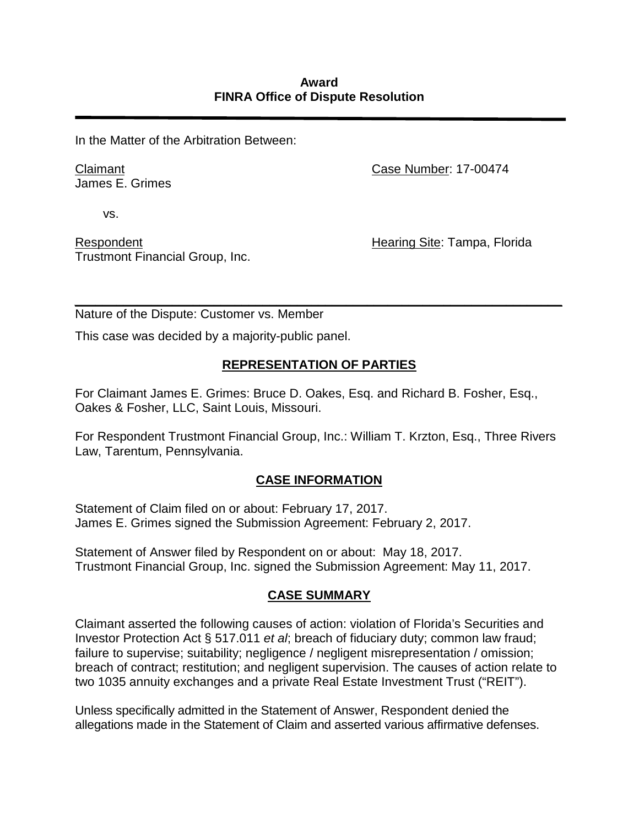In the Matter of the Arbitration Between:

Claimant James E. Grimes Case Number: 17-00474

vs.

Respondent Trustmont Financial Group, Inc. Hearing Site: Tampa, Florida

*\_\_\_\_\_\_\_\_\_\_\_\_\_\_\_\_\_\_\_\_\_\_\_\_\_\_\_\_\_\_\_\_\_\_\_\_\_\_\_\_\_\_\_\_\_\_\_\_\_\_\_\_\_\_\_\_\_\_\_\_\_\_\_\_\_\_\_\_\_\_*  Nature of the Dispute: Customer vs. Member

This case was decided by a majority-public panel.

## **REPRESENTATION OF PARTIES**

For Claimant James E. Grimes: Bruce D. Oakes, Esq. and Richard B. Fosher, Esq., Oakes & Fosher, LLC, Saint Louis, Missouri.

For Respondent Trustmont Financial Group, Inc.: William T. Krzton, Esq., Three Rivers Law, Tarentum, Pennsylvania.

## **CASE INFORMATION**

Statement of Claim filed on or about: February 17, 2017. James E. Grimes signed the Submission Agreement: February 2, 2017.

Statement of Answer filed by Respondent on or about: May 18, 2017. Trustmont Financial Group, Inc. signed the Submission Agreement: May 11, 2017.

## **CASE SUMMARY**

Claimant asserted the following causes of action: violation of Florida's Securities and Investor Protection Act § 517.011 *et al*; breach of fiduciary duty; common law fraud; failure to supervise; suitability; negligence / negligent misrepresentation / omission; breach of contract; restitution; and negligent supervision. The causes of action relate to two 1035 annuity exchanges and a private Real Estate Investment Trust ("REIT").

Unless specifically admitted in the Statement of Answer, Respondent denied the allegations made in the Statement of Claim and asserted various affirmative defenses.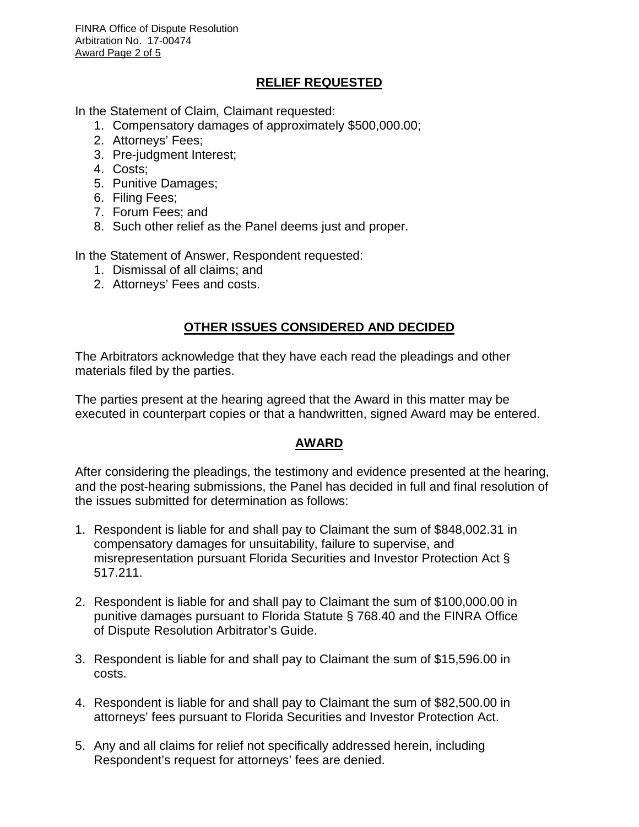FINRA Office of Dispute Resolution Arbitration No. 17-00474 Award Page 2 of 5

## **RELIEF REQUESTED**

In the Statement of Claim*,* Claimant requested:

- 1. Compensatory damages of approximately \$500,000.00;
- 2. Attorneys' Fees;
- 3. Pre-judgment Interest;
- 4. Costs;
- 5. Punitive Damages;
- 6. Filing Fees;
- 7. Forum Fees; and
- 8. Such other relief as the Panel deems just and proper.

In the Statement of Answer, Respondent requested:

- 1. Dismissal of all claims; and
- 2. Attorneys' Fees and costs.

## **OTHER ISSUES CONSIDERED AND DECIDED**

The Arbitrators acknowledge that they have each read the pleadings and other materials filed by the parties.

The parties present at the hearing agreed that the Award in this matter may be executed in counterpart copies or that a handwritten, signed Award may be entered.

## **AWARD**

After considering the pleadings, the testimony and evidence presented at the hearing, and the post-hearing submissions, the Panel has decided in full and final resolution of the issues submitted for determination as follows:

- 1. Respondent is liable for and shall pay to Claimant the sum of \$848,002.31 in compensatory damages for unsuitability, failure to supervise, and misrepresentation pursuant Florida Securities and Investor Protection Act § 517.211.
- 2. Respondent is liable for and shall pay to Claimant the sum of \$100,000.00 in punitive damages pursuant to Florida Statute § 768.40 and the FINRA Office of Dispute Resolution Arbitrator's Guide.
- 3. Respondent is liable for and shall pay to Claimant the sum of \$15,596.00 in costs.
- 4. Respondent is liable for and shall pay to Claimant the sum of \$82,500.00 in attorneys' fees pursuant to Florida Securities and Investor Protection Act.
- 5. Any and all claims for relief not specifically addressed herein, including Respondent's request for attorneys' fees are denied.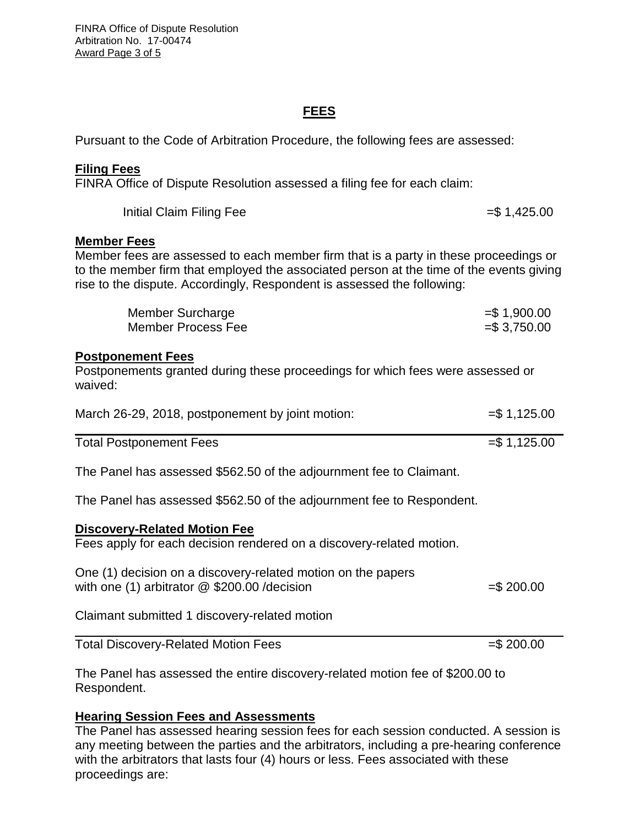FINRA Office of Dispute Resolution Arbitration No. 17-00474 Award Page 3 of 5

### **FEES**

Pursuant to the Code of Arbitration Procedure, the following fees are assessed:

#### **Filing Fees**

FINRA Office of Dispute Resolution assessed a filing fee for each claim:

| Initial Claim Filing Fee | $= $1,425.00$ |
|--------------------------|---------------|
|--------------------------|---------------|

#### **Member Fees**

Member fees are assessed to each member firm that is a party in these proceedings or to the member firm that employed the associated person at the time of the events giving rise to the dispute. Accordingly, Respondent is assessed the following:

| Member Surcharge   | $= $1,900.00$   |
|--------------------|-----------------|
| Member Process Fee | $=$ \$ 3,750.00 |

#### **Postponement Fees**

Postponements granted during these proceedings for which fees were assessed or waived:

| March 26-29, 2018, postponement by joint motion: | $=$ \$1,125.00 |
|--------------------------------------------------|----------------|
|                                                  |                |

Total Postponement Fees =  $\frac{3}{5}$  1,125.00

The Panel has assessed \$562.50 of the adjournment fee to Claimant.

The Panel has assessed \$562.50 of the adjournment fee to Respondent.

#### **Discovery-Related Motion Fee**

Fees apply for each decision rendered on a discovery-related motion.

| One (1) decision on a discovery-related motion on the papers |              |
|--------------------------------------------------------------|--------------|
| with one (1) arbitrator $@$ \$200.00 / decision              | $=$ \$200.00 |

Claimant submitted 1 discovery-related motion

Total Discovery-Related Motion Fees =  $\frac{1}{2}$  = \$ 200.00

The Panel has assessed the entire discovery-related motion fee of \$200.00 to Respondent.

#### **Hearing Session Fees and Assessments**

The Panel has assessed hearing session fees for each session conducted. A session is any meeting between the parties and the arbitrators, including a pre-hearing conference with the arbitrators that lasts four (4) hours or less. Fees associated with these proceedings are: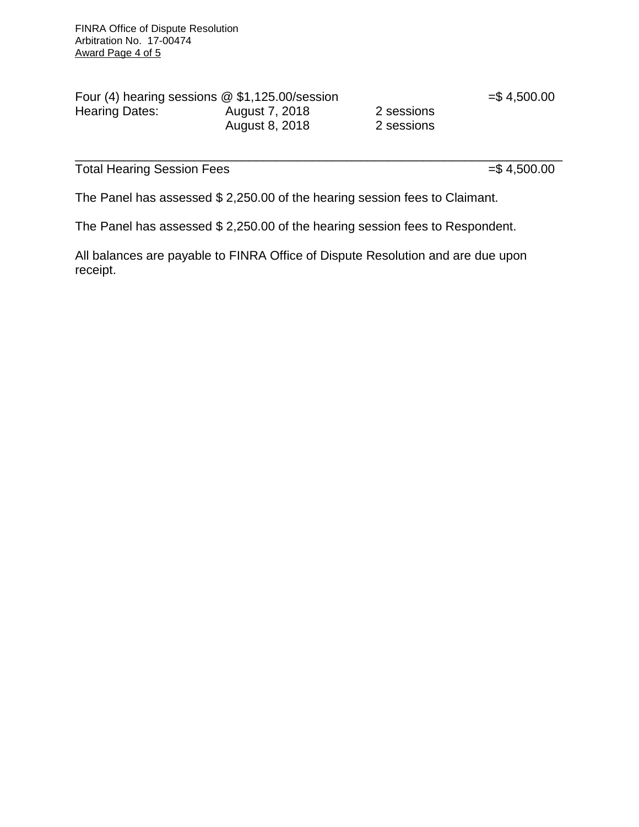| Four (4) hearing sessions $@$ \$1,125.00/session |                |            |
|--------------------------------------------------|----------------|------------|
| Hearing Dates:                                   | August 7, 2018 | 2 sessions |
|                                                  | August 8, 2018 | 2 sessions |

 $= $4,500.00$ 

Total Hearing Session Fees =  $\frac{1}{2}$  500.00

\_\_\_\_\_\_\_\_\_\_\_\_\_\_\_\_\_\_\_\_\_\_\_\_\_\_\_\_\_\_\_\_\_\_\_\_\_\_\_\_\_\_\_\_\_\_\_\_\_\_\_\_\_\_\_\_\_\_\_\_\_\_\_\_\_\_\_\_\_\_

The Panel has assessed \$ 2,250.00 of the hearing session fees to Claimant.

The Panel has assessed \$ 2,250.00 of the hearing session fees to Respondent.

All balances are payable to FINRA Office of Dispute Resolution and are due upon receipt.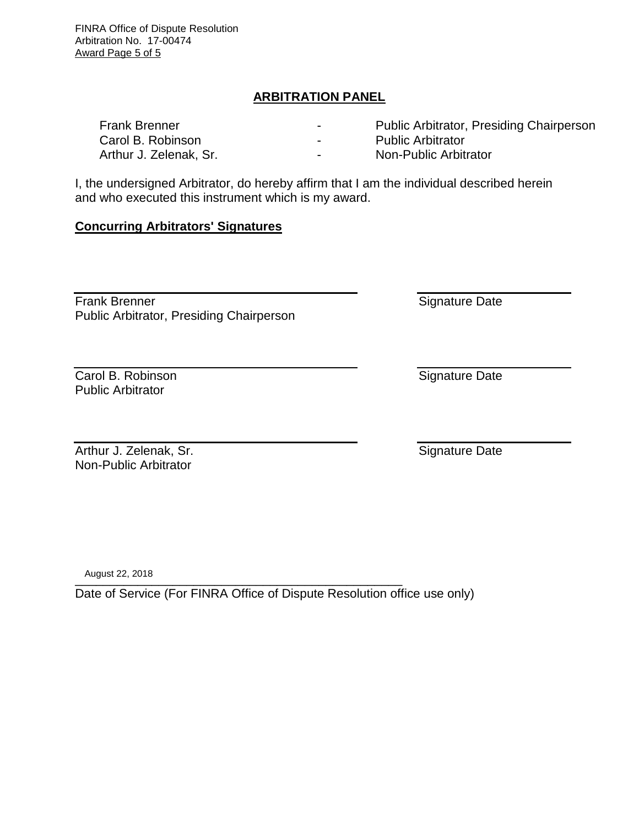FINRA Office of Dispute Resolution Arbitration No. 17-00474 Award Page 5 of 5

## **ARBITRATION PANEL**

| <b>Frank Brenner</b>   | $\overline{\phantom{0}}$ | <b>Public Arbitrator, Presiding Chairperson</b> |
|------------------------|--------------------------|-------------------------------------------------|
| Carol B. Robinson      | $\overline{\phantom{0}}$ | <b>Public Arbitrator</b>                        |
| Arthur J. Zelenak, Sr. | $\overline{\phantom{0}}$ | Non-Public Arbitrator                           |

I, the undersigned Arbitrator, do hereby affirm that I am the individual described herein and who executed this instrument which is my award.

### **Concurring Arbitrators' Signatures**

Frank Brenner Public Arbitrator, Presiding Chairperson

Carol B. Robinson Public Arbitrator

Arthur J. Zelenak, Sr. Non-Public Arbitrator

\_\_\_\_\_\_\_\_\_\_\_\_\_\_\_\_\_\_\_\_\_\_\_\_\_\_\_\_\_\_\_\_\_\_\_\_\_\_\_\_\_\_\_\_\_\_\_ August 22, 2018

Date of Service (For FINRA Office of Dispute Resolution office use only)

Signature Date

Signature Date

Signature Date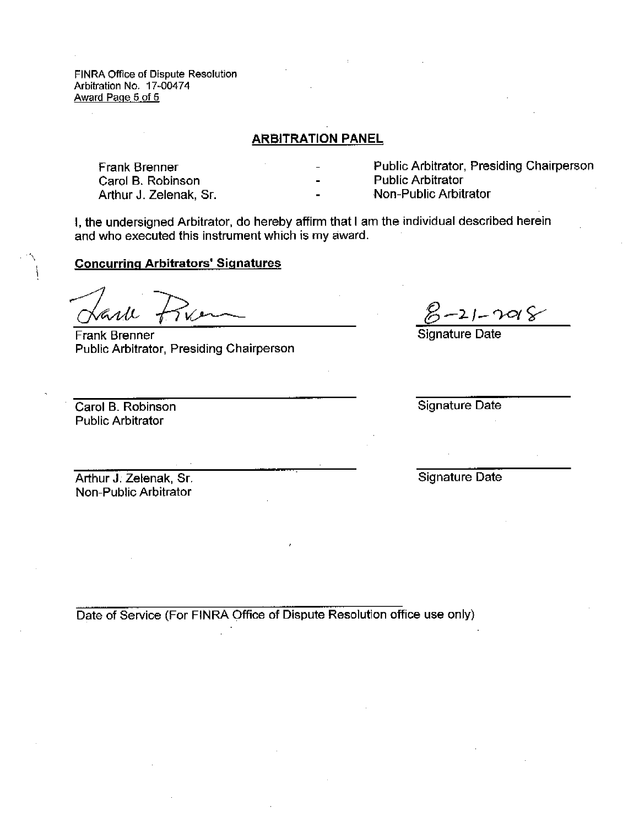FINRA Office of Dispute Resolution Arbitration No. 17-00474 Award Page 5 of 5

#### **ARBITRATION PANEL**

**Frank Brenner** Carol B. Robinson Arthur J. Zelenak, Sr. Public Arbitrator, Presiding Chairperson **Public Arbitrator** Non-Public Arbitrator

I, the undersigned Arbitrator, do hereby affirm that I am the individual described herein and who executed this instrument which is my award.

#### **Concurring Arbitrators' Signatures**

Frank Brenner Public Arbitrator, Presiding Chairperson

Carol B. Robinson **Public Arbitrator** 

 $-2$  )  $\curvearrowright$   $\curvearrowright$ Signature Date

Signature Date

Arthur J. Zelenak, Sr. Non-Public Arbitrator

Signature Date

Date of Service (For FINRA Office of Dispute Resolution office use only)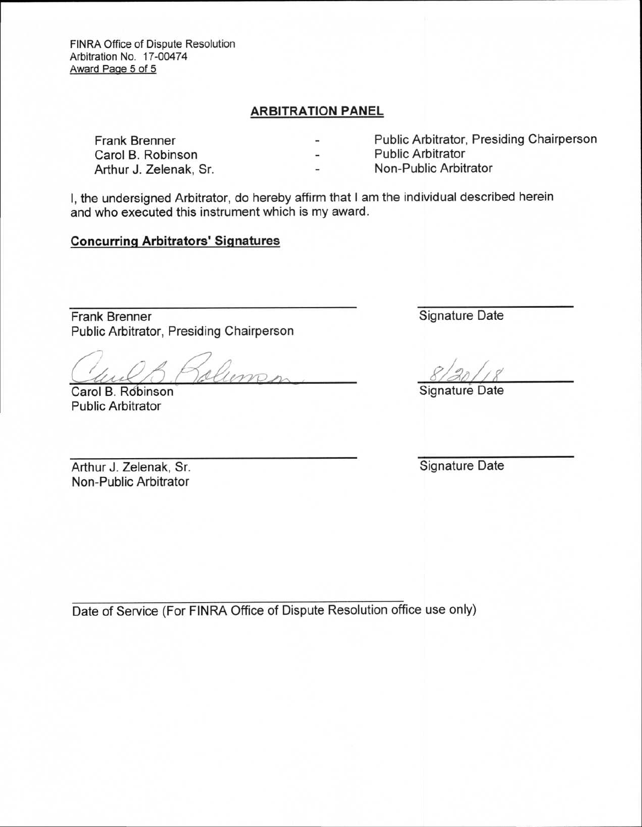FINRA Office of Dispute Resolution Arbitration No. 17-00474 Award Page 5 of 5

#### **ARBITRATION PANEL**

Frank Brenner **Public Arbitrator, Presiding Chairperson**<br>Carol B. Robinson **Public Arbitrator** Carol B. Robinson Arthur J. Zelenak, Sr. Non-Public Arbitrator

I, the undersigned Arbitrator, do hereby affirm that I am the individual described herein and who executed this instrument which is my award.

## **Concurring Arbitrators' Signatures**

Frank Brenner Signature Date Public Arbitrator, Presiding Chairperson

 $\mu(\lambda)$  , relieven,  $\frac{8/301/8}{\pi}$ 

Carol B. Robinson Signature Date Public Arbitrator

Arthur J. Zelenak, Sr. Signature Date Non-Public Arbitrator

Date of Service (For FINRA Office of Dispute Resolution office use only)